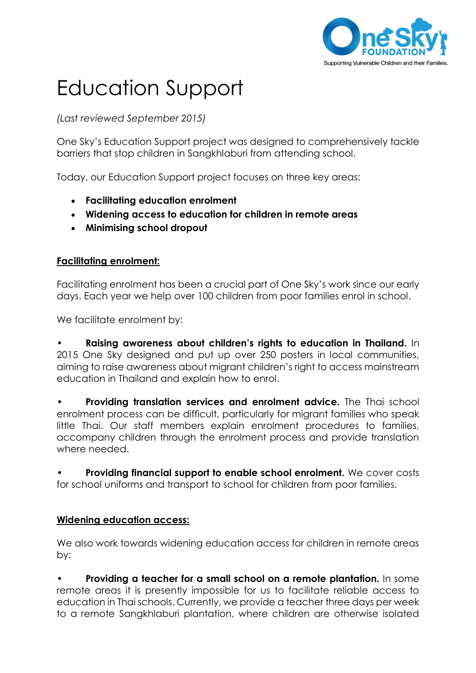

## Education Support

*(Last reviewed September 2015)*

One Sky's Education Support project was designed to comprehensively tackle barriers that stop children in Sangkhlaburi from attending school.

Today, our Education Support project focuses on three key areas:

- **Facilitating education enrolment**
- **Widening access to education for children in remote areas**
- **Minimising school dropout**

## **Facilitating enrolment:**

Facilitating enrolment has been a crucial part of One Sky's work since our early days. Each year we help over 100 children from poor families enrol in school.

We facilitate enrolment by:

• **Raising awareness about children's rights to education in Thailand.** In 2015 One Sky designed and put up over 250 posters in local communities, aiming to raise awareness about migrant children's right to access mainstream education in Thailand and explain how to enrol.

• **Providing translation services and enrolment advice.** The Thai school enrolment process can be difficult, particularly for migrant families who speak little Thai. Our staff members explain enrolment procedures to families, accompany children through the enrolment process and provide translation where needed.

• **Providing financial support to enable school enrolment.** We cover costs for school uniforms and transport to school for children from poor families.

## **Widening education access:**

We also work towards widening education access for children in remote areas by:

• **Providing a teacher for a small school on a remote plantation.** In some remote areas it is presently impossible for us to facilitate reliable access to education in Thai schools. Currently, we provide a teacher three days per week to a remote Sangkhlaburi plantation, where children are otherwise isolated